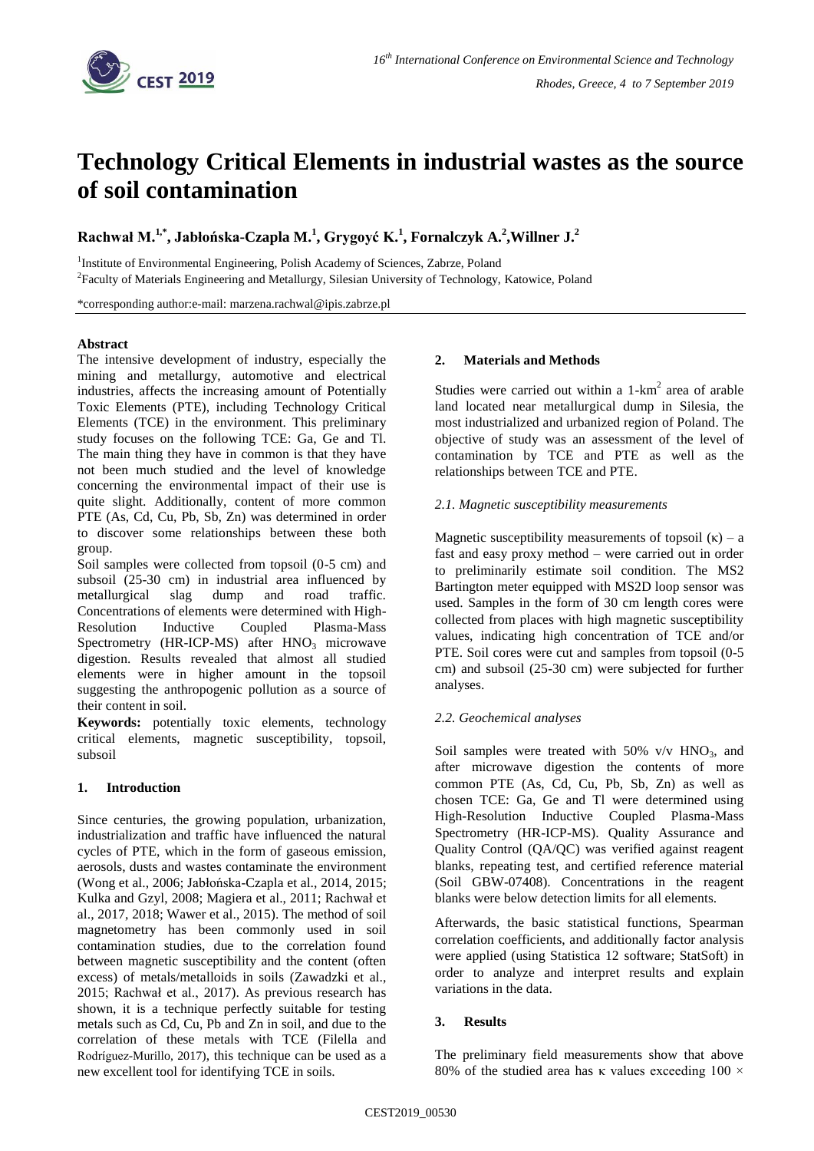

# **Technology Critical Elements in industrial wastes as the source of soil contamination**

**Rachwał M.1,\* , Jabłońska-Czapla M.<sup>1</sup> , Grygoyć K.<sup>1</sup> , Fornalczyk A.<sup>2</sup> ,Willner J.<sup>2</sup>**

<sup>1</sup>Institute of Environmental Engineering, Polish Academy of Sciences, Zabrze, Poland <sup>2</sup> Faculty of Materials Engineering and Metallurgy, Silesian University of Technology, Katowice, Poland

\*corresponding author:e-mail: marzena.rachwal@ipis.zabrze.pl

### **Abstract**

The intensive development of industry, especially the mining and metallurgy, automotive and electrical industries, affects the increasing amount of Potentially Toxic Elements (PTE), including Technology Critical Elements (TCE) in the environment. This preliminary study focuses on the following TCE: Ga, Ge and Tl. The main thing they have in common is that they have not been much studied and the level of knowledge concerning the environmental impact of their use is quite slight. Additionally, content of more common PTE (As, Cd, Cu, Pb, Sb, Zn) was determined in order to discover some relationships between these both group.

Soil samples were collected from topsoil (0-5 cm) and subsoil (25-30 cm) in industrial area influenced by metallurgical slag dump and road traffic. Concentrations of elements were determined with High-Resolution Inductive Coupled Plasma-Mass Spectrometry (HR-ICP-MS) after  $HNO<sub>3</sub>$  microwave digestion. Results revealed that almost all studied elements were in higher amount in the topsoil suggesting the anthropogenic pollution as a source of their content in soil.

**Keywords:** potentially toxic elements, technology critical elements, magnetic susceptibility, topsoil, subsoil

# **1. Introduction**

Since centuries, the growing population, urbanization, industrialization and traffic have influenced the natural cycles of PTE, which in the form of gaseous emission, aerosols, dusts and wastes contaminate the environment (Wong et al., 2006; Jabłońska-Czapla et al., 2014, 2015; Kulka and Gzyl, 2008; Magiera et al., 2011; Rachwał et al., 2017, 2018; Wawer et al., 2015). The method of soil magnetometry has been commonly used in soil contamination studies, due to the correlation found between magnetic susceptibility and the content (often excess) of metals/metalloids in soils (Zawadzki et al., 2015; Rachwał et al., 2017). As previous research has shown, it is a technique perfectly suitable for testing metals such as Cd, Cu, Pb and Zn in soil, and due to the correlation of these metals with TCE (Filella and Rodríguez-Murillo, 2017), this technique can be used as a new excellent tool for identifying TCE in soils.

#### **2. Materials and Methods**

Studies were carried out within a  $1-km^2$  area of arable land located near metallurgical dump in Silesia, the most industrialized and urbanized region of Poland. The objective of study was an assessment of the level of contamination by TCE and PTE as well as the relationships between TCE and PTE.

#### *2.1. Magnetic susceptibility measurements*

Magnetic susceptibility measurements of topsoil  $(\kappa)$  – a fast and easy proxy method – were carried out in order to preliminarily estimate soil condition. The MS2 Bartington meter equipped with MS2D loop sensor was used. Samples in the form of 30 cm length cores were collected from places with high magnetic susceptibility values, indicating high concentration of TCE and/or PTE. Soil cores were cut and samples from topsoil (0-5 cm) and subsoil (25-30 cm) were subjected for further analyses.

#### *2.2. Geochemical analyses*

Soil samples were treated with  $50\%$  v/v HNO<sub>3</sub>, and after microwave digestion the contents of more common PTE (As, Cd, Cu, Pb, Sb, Zn) as well as chosen TCE: Ga, Ge and Tl were determined using High-Resolution Inductive Coupled Plasma-Mass Spectrometry (HR-ICP-MS). Quality Assurance and Quality Control (QA/QC) was verified against reagent blanks, repeating test, and certified reference material (Soil GBW-07408). Concentrations in the reagent blanks were below detection limits for all elements.

Afterwards, the basic statistical functions, Spearman correlation coefficients, and additionally factor analysis were applied (using Statistica 12 software; StatSoft) in order to analyze and interpret results and explain variations in the data.

#### **3. Results**

The preliminary field measurements show that above 80% of the studied area has κ values exceeding 100  $\times$